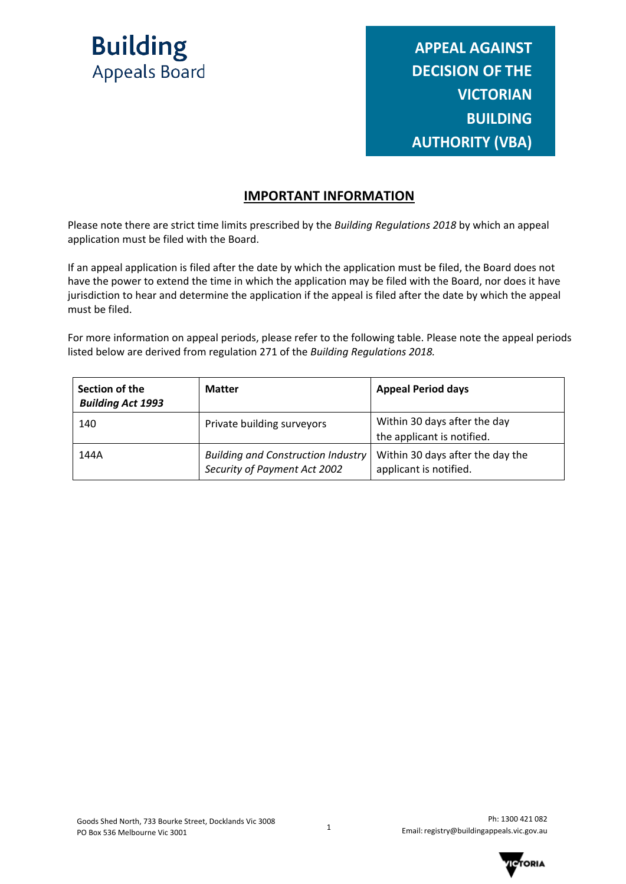

**APPEAL AGAINST DECISION OF THE VICTORIAN BUILDING AUTHORITY (VBA)**

### **IMPORTANT INFORMATION**

Please note there are strict time limits prescribed by the *Building Regulations 2018* by which an appeal application must be filed with the Board.

If an appeal application is filed after the date by which the application must be filed, the Board does not have the power to extend the time in which the application may be filed with the Board, nor does it have jurisdiction to hear and determine the application if the appeal is filed after the date by which the appeal must be filed.

For more information on appeal periods, please refer to the following table. Please note the appeal periods listed below are derived from regulation 271 of the *Building Regulations 2018.*

| Section of the<br><b>Building Act 1993</b> | <b>Matter</b>                                                             | <b>Appeal Period days</b>                                  |
|--------------------------------------------|---------------------------------------------------------------------------|------------------------------------------------------------|
| 140                                        | Private building surveyors                                                | Within 30 days after the day<br>the applicant is notified. |
| 144A                                       | <b>Building and Construction Industry</b><br>Security of Payment Act 2002 | Within 30 days after the day the<br>applicant is notified. |

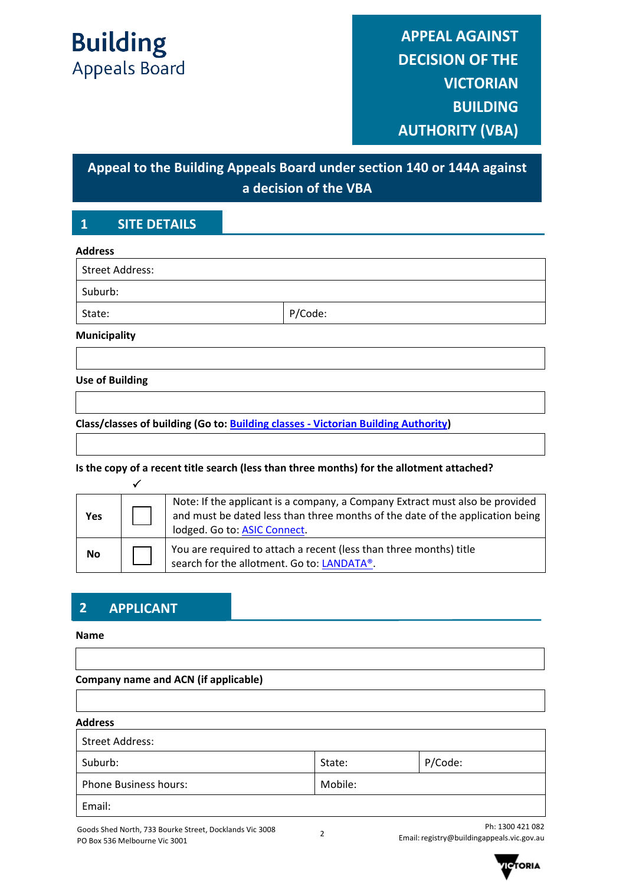# **Appeal to the Building Appeals Board under section 140 or 144A against a decision of the VBA**

# **1 SITE DETAILS**

| <b>Address</b>         |         |  |
|------------------------|---------|--|
| <b>Street Address:</b> |         |  |
| Suburb:                |         |  |
| State:                 | P/Code: |  |
| <b>Municipality</b>    |         |  |

#### **Use of Building**

**Class/classes of building (Go to: [Building classes - Victorian Building Authority\)](https://www.vba.vic.gov.au/building/regulatory-framework/building-classes)** 

#### **Is the copy of a recent title search (less than three months) for the allotment attached?**

| Yes | Note: If the applicant is a company, a Company Extract must also be provided<br>and must be dated less than three months of the date of the application being<br>lodged. Go to: ASIC Connect. |
|-----|-----------------------------------------------------------------------------------------------------------------------------------------------------------------------------------------------|
| No  | You are required to attach a recent (less than three months) title<br>search for the allotment. Go to: LANDATA®.                                                                              |

# **2 APPLICANT**

#### **Name**

# **Company name and ACN (if applicable)**

#### **Address**

| Street Address:              |         |         |
|------------------------------|---------|---------|
| Suburb:                      | State:  | P/Code: |
| <b>Phone Business hours:</b> | Mobile: |         |
| Email:                       |         |         |

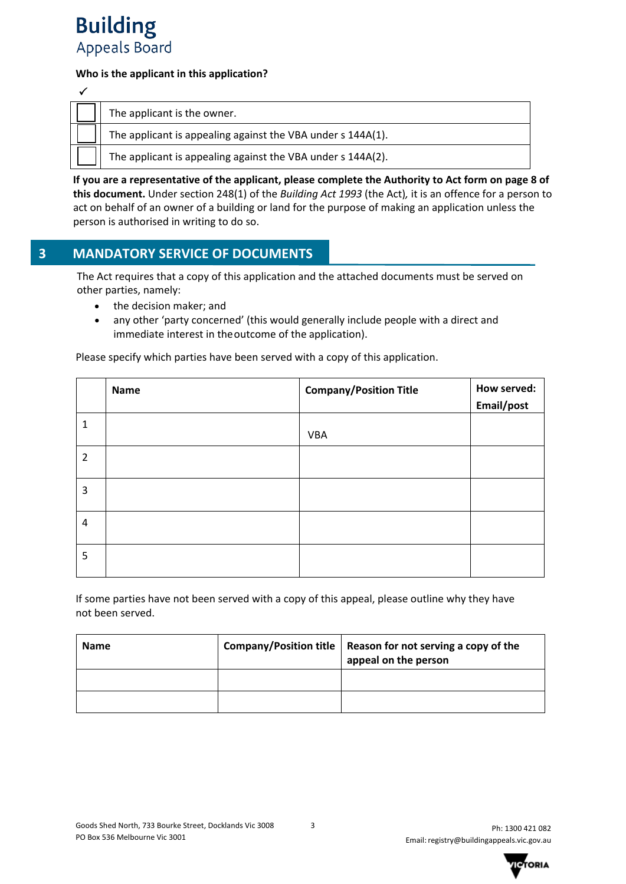

#### **Who is the applicant in this application?**

| The applicant is the owner.                                 |
|-------------------------------------------------------------|
| The applicant is appealing against the VBA under s 144A(1). |
| The applicant is appealing against the VBA under s 144A(2). |

**If you are a representative of the applicant, please complete the Authority to Act form on page 8 of this document.** Under section 248(1) of the *Building Act 1993* (the Act)*,* it is an offence for a person to act on behalf of an owner of a building or land for the purpose of making an application unless the person is authorised in writing to do so.

### **3 MANDATORY SERVICE OF DOCUMENTS**

The Act requires that a copy of this application and the attached documents must be served on other parties, namely:

- the decision maker; and
- any other 'party concerned' (this would generally include people with a direct and immediate interest in theoutcome of the application).

Please specify which parties have been served with a copy of this application.

|                | Name | <b>Company/Position Title</b> | How served: |
|----------------|------|-------------------------------|-------------|
|                |      |                               | Email/post  |
| 1              |      |                               |             |
|                |      | <b>VBA</b>                    |             |
| $\overline{2}$ |      |                               |             |
| 3              |      |                               |             |
| $\overline{4}$ |      |                               |             |
| 5              |      |                               |             |

If some parties have not been served with a copy of this appeal, please outline why they have not been served.

| <b>Name</b> | Company/Position title   Reason for not serving a copy of the<br>appeal on the person |
|-------------|---------------------------------------------------------------------------------------|
|             |                                                                                       |
|             |                                                                                       |

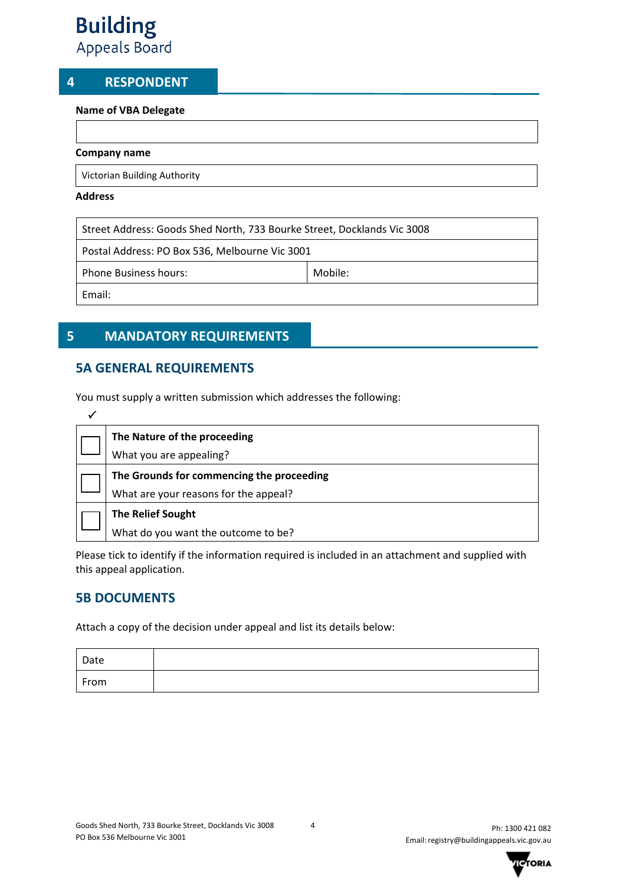### **4 RESPONDENT**

#### **Name of VBA Delegate**

#### **Company name**

Victorian Building Authority

#### **Address**

Street Address: Goods Shed North, 733 Bourke Street, Docklands Vic 3008

Postal Address: PO Box 536, Melbourne Vic 3001

Phone Business hours: Mobile: Mobile:

Email:

# **5 MANDATORY REQUIREMENTS**

# **5A GENERAL REQUIREMENTS**

You must supply a written submission which addresses the following:

| The Nature of the proceeding              |
|-------------------------------------------|
| What you are appealing?                   |
| The Grounds for commencing the proceeding |
| What are your reasons for the appeal?     |
| <b>The Relief Sought</b>                  |
| What do you want the outcome to be?       |

Please tick to identify if the information required is included in an attachment and supplied with this appeal application.

# **5B DOCUMENTS**

Attach a copy of the decision under appeal and list its details below:

| Date |  |
|------|--|
| From |  |

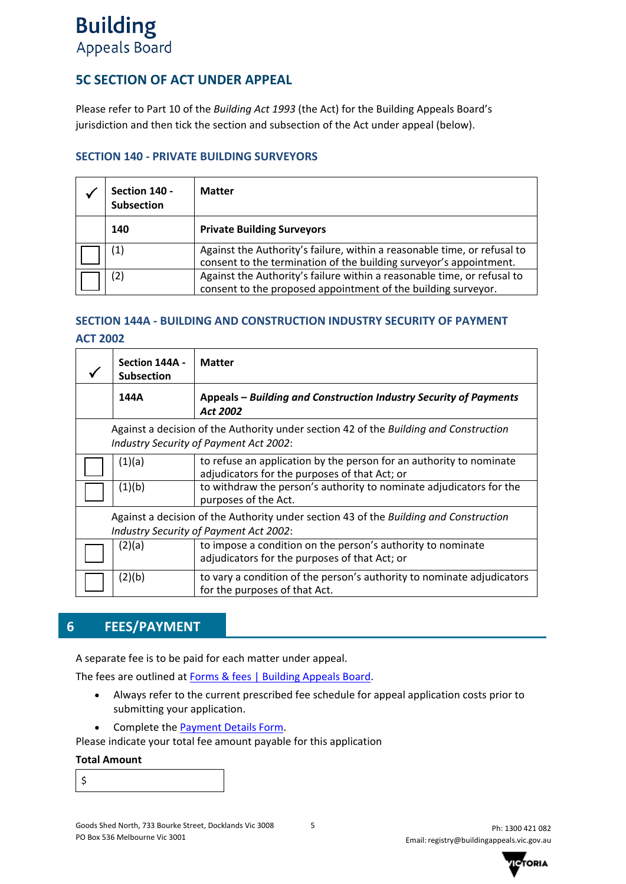# **5C SECTION OF ACT UNDER APPEAL**

Please refer to Part 10 of the *Building Act 1993* (the Act) for the Building Appeals Board's jurisdiction and then tick the section and subsection of the Act under appeal (below).

#### **SECTION 140 - PRIVATE BUILDING SURVEYORS**

| Section 140 -<br><b>Subsection</b> | <b>Matter</b>                                                                                                                                  |
|------------------------------------|------------------------------------------------------------------------------------------------------------------------------------------------|
| 140                                | <b>Private Building Surveyors</b>                                                                                                              |
| $\left( 1\right)$                  | Against the Authority's failure, within a reasonable time, or refusal to<br>consent to the termination of the building surveyor's appointment. |
| (2)                                | Against the Authority's failure within a reasonable time, or refusal to<br>consent to the proposed appointment of the building surveyor.       |

#### **SECTION 144A - BUILDING AND CONSTRUCTION INDUSTRY SECURITY OF PAYMENT**

#### **ACT 2002**

|                                                                                                                                 | Section 144A -<br><b>Subsection</b>                                                                                             | <b>Matter</b>                                                                                                        |  |
|---------------------------------------------------------------------------------------------------------------------------------|---------------------------------------------------------------------------------------------------------------------------------|----------------------------------------------------------------------------------------------------------------------|--|
|                                                                                                                                 | 144A                                                                                                                            | Appeals – Building and Construction Industry Security of Payments<br>Act 2002                                        |  |
|                                                                                                                                 | Against a decision of the Authority under section 42 of the Building and Construction<br>Industry Security of Payment Act 2002: |                                                                                                                      |  |
|                                                                                                                                 | (1)(a)                                                                                                                          | to refuse an application by the person for an authority to nominate<br>adjudicators for the purposes of that Act; or |  |
|                                                                                                                                 | (1)(b)                                                                                                                          | to withdraw the person's authority to nominate adjudicators for the<br>purposes of the Act.                          |  |
| Against a decision of the Authority under section 43 of the Building and Construction<br>Industry Security of Payment Act 2002: |                                                                                                                                 |                                                                                                                      |  |
|                                                                                                                                 | (2)(a)                                                                                                                          | to impose a condition on the person's authority to nominate<br>adjudicators for the purposes of that Act; or         |  |
|                                                                                                                                 | (2)(b)                                                                                                                          | to vary a condition of the person's authority to nominate adjudicators<br>for the purposes of that Act.              |  |

# **6 FEES/PAYMENT**

A separate fee is to be paid for each matter under appeal.

The fees are outlined at [Forms & fees | Building Appeals Board.](https://www.buildingappeals.vic.gov.au/how-to-apply/forms-and-fees)

- Always refer to the current prescribed fee schedule for appeal application costs prior to submitting your application.
- Complete the [Payment Details Form.](https://www.buildingappeals.vic.gov.au/__data/assets/pdf_file/0010/48268/Payment-Form.pdf)

Please indicate your total fee amount payable for this application

#### **Total Amount**

\$

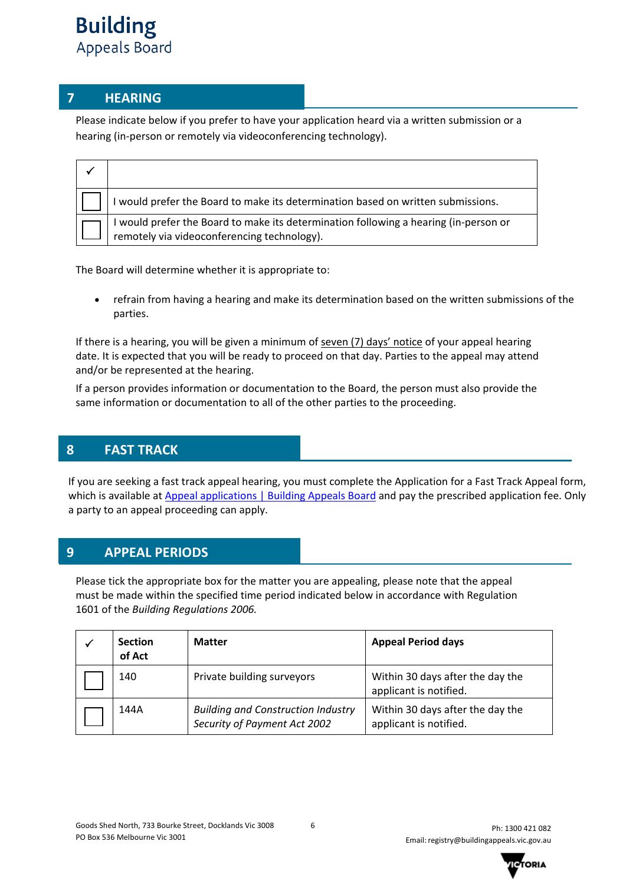# **7 HEARING**

Please indicate below if you prefer to have your application heard via a written submission or a hearing (in-person or remotely via videoconferencing technology).

| I would prefer the Board to make its determination based on written submissions.                                                  |
|-----------------------------------------------------------------------------------------------------------------------------------|
| would prefer the Board to make its determination following a hearing (in-person or<br>remotely via videoconferencing technology). |

The Board will determine whether it is appropriate to:

• refrain from having a hearing and make its determination based on the written submissions of the parties.

If there is a hearing, you will be given a minimum of seven (7) days' notice of your appeal hearing date. It is expected that you will be ready to proceed on that day. Parties to the appeal may attend and/or be represented at the hearing.

If a person provides information or documentation to the Board, the person must also provide the same information or documentation to all of the other parties to the proceeding.

# **8 FAST TRACK**

If you are seeking a fast track appeal hearing, you must complete the Application for a Fast Track Appeal form, which is available at [Appeal applications | Building Appeals Board](https://www.buildingappeals.vic.gov.au/how-to-apply/appeal-applications) and pay the prescribed application fee. Only a party to an appeal proceeding can apply.

# **9 APPEAL PERIODS**

Please tick the appropriate box for the matter you are appealing, please note that the appeal must be made within the specified time period indicated below in accordance with Regulation 1601 of the *Building Regulations 2006.* 

| <b>Section</b><br>of Act | <b>Matter</b>                                                             | <b>Appeal Period days</b>                                  |
|--------------------------|---------------------------------------------------------------------------|------------------------------------------------------------|
| 140                      | Private building surveyors                                                | Within 30 days after the day the<br>applicant is notified. |
| 144A                     | <b>Building and Construction Industry</b><br>Security of Payment Act 2002 | Within 30 days after the day the<br>applicant is notified. |

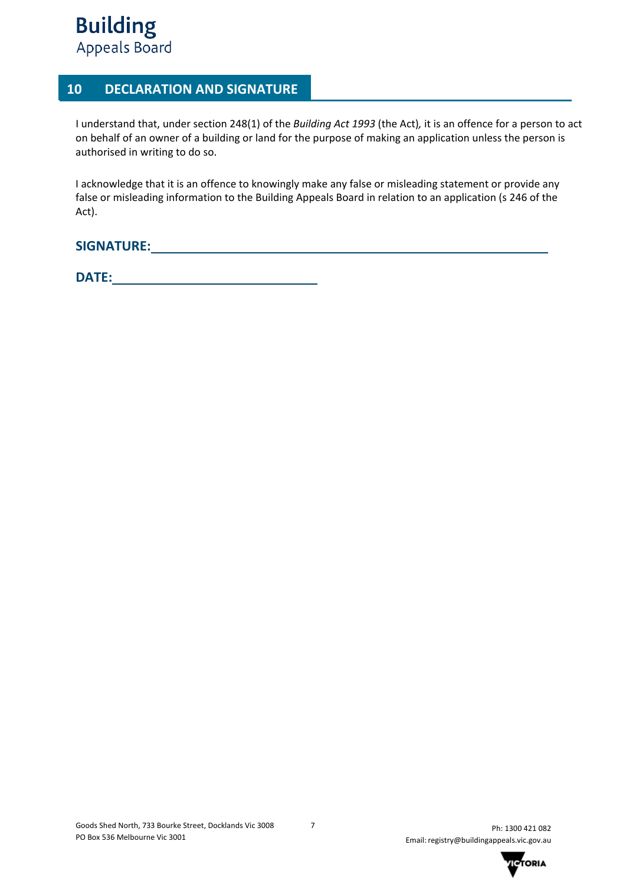# **10 DECLARATION AND SIGNATURE**

I understand that, under section 248(1) of the *Building Act 1993* (the Act)*,* it is an offence for a person to act on behalf of an owner of a building or land for the purpose of making an application unless the person is authorised in writing to do so.

I acknowledge that it is an offence to knowingly make any false or misleading statement or provide any false or misleading information to the Building Appeals Board in relation to an application (s 246 of the Act).

**SIGNATURE:** 

**DATE:** 

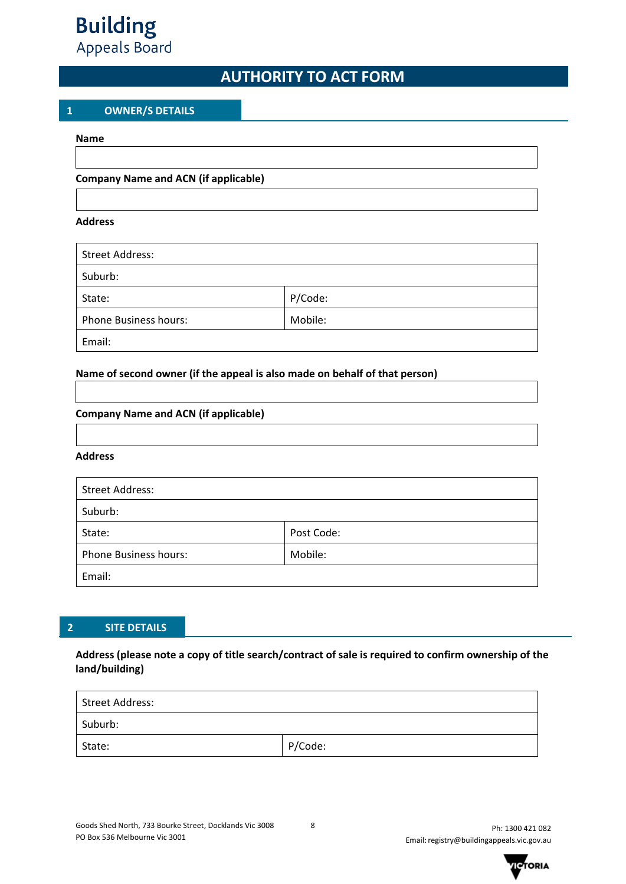# **AUTHORITY TO ACT FORM**

#### **1 OWNER/S DETAILS**

#### **Name**

#### **Company Name and ACN (if applicable)**

#### **Address**

| <b>Street Address:</b>       |         |  |  |  |
|------------------------------|---------|--|--|--|
| Suburb:                      |         |  |  |  |
| State:                       | P/Code: |  |  |  |
| <b>Phone Business hours:</b> | Mobile: |  |  |  |
| Email:                       |         |  |  |  |

#### **Name of second owner (if the appeal is also made on behalf of that person)**

#### **Company Name and ACN (if applicable)**

#### **Address**

| <b>Street Address:</b>       |            |  |  |  |
|------------------------------|------------|--|--|--|
| Suburb:                      |            |  |  |  |
| State:                       | Post Code: |  |  |  |
| <b>Phone Business hours:</b> | Mobile:    |  |  |  |
| Email:                       |            |  |  |  |

# **2 SITE DETAILS**

#### **Address (please note a copy of title search/contract of sale is required to confirm ownership of the land/building)**

| Street Address: |         |  |  |  |
|-----------------|---------|--|--|--|
| Suburb:         |         |  |  |  |
| State:          | P/Code: |  |  |  |

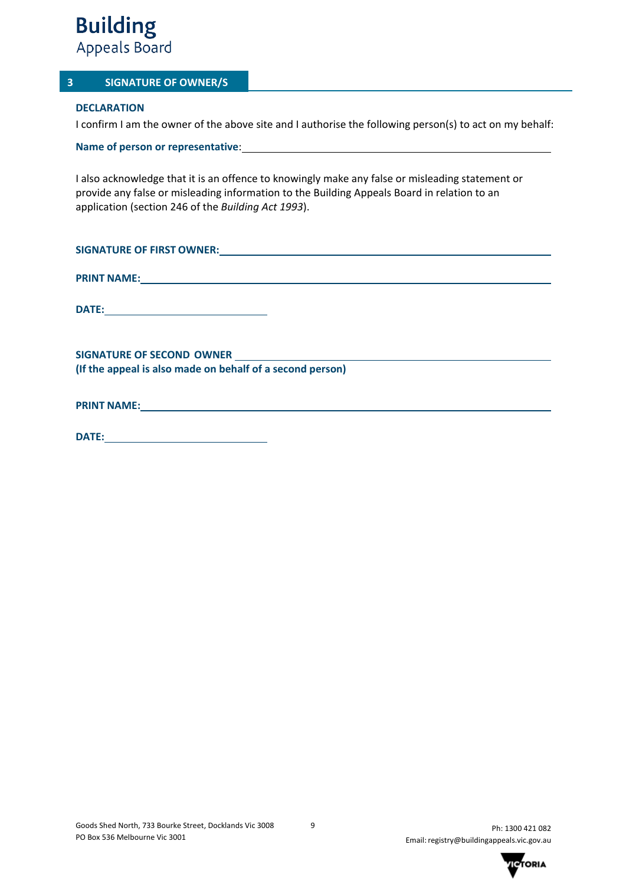#### **3 SIGNATURE OF OWNER/S**

#### **DECLARATION**

I confirm I am the owner of the above site and I authorise the following person(s) to act on my behalf:

**Name of person or representative**:

I also acknowledge that it is an offence to knowingly make any false or misleading statement or provide any false or misleading information to the Building Appeals Board in relation to an application (section 246 of the *Building Act 1993*).

| SIGNATURE OF FIRST OWNER: New York State State State State State State State State State State State State State State State State State State State State State State State State State State State State State State State S |
|--------------------------------------------------------------------------------------------------------------------------------------------------------------------------------------------------------------------------------|
| PRINT NAME: NAME: NAME AND A SERVICE OF THE CONTRACT OF THE CONTRACT OF THE CONTRACT OF THE CONTRACT OF THE CONTRACT OF THE CONTRACT OF THE CONTRACT OF THE CONTRACT OF THE CONTRACT OF THE CONTRACT OF THE CONTRACT OF THE CO |
|                                                                                                                                                                                                                                |
| (If the appeal is also made on behalf of a second person)                                                                                                                                                                      |
|                                                                                                                                                                                                                                |
|                                                                                                                                                                                                                                |

| <b>DATE:</b> |  |
|--------------|--|
|              |  |